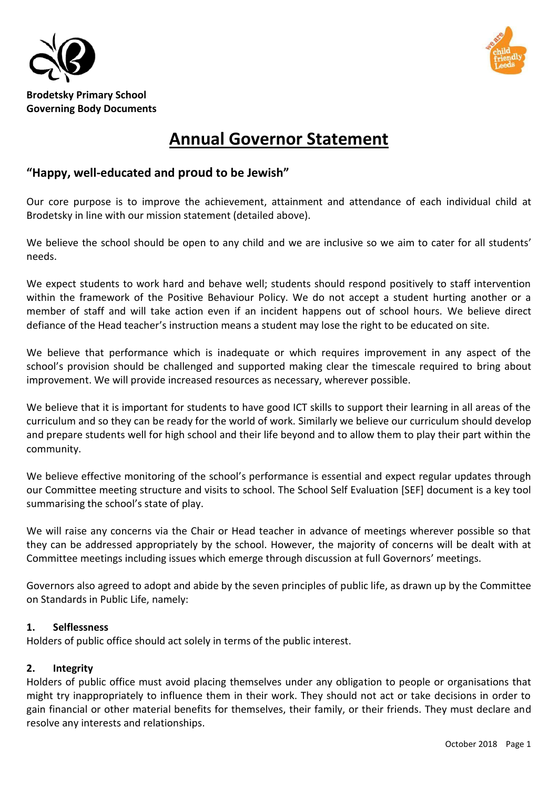



# **Annual Governor Statement**

## **"Happy, well-educated and proud to be Jewish"**

Our core purpose is to improve the achievement, attainment and attendance of each individual child at Brodetsky in line with our mission statement (detailed above).

We believe the school should be open to any child and we are inclusive so we aim to cater for all students' needs.

We expect students to work hard and behave well; students should respond positively to staff intervention within the framework of the Positive Behaviour Policy. We do not accept a student hurting another or a member of staff and will take action even if an incident happens out of school hours. We believe direct defiance of the Head teacher's instruction means a student may lose the right to be educated on site.

We believe that performance which is inadequate or which requires improvement in any aspect of the school's provision should be challenged and supported making clear the timescale required to bring about improvement. We will provide increased resources as necessary, wherever possible.

We believe that it is important for students to have good ICT skills to support their learning in all areas of the curriculum and so they can be ready for the world of work. Similarly we believe our curriculum should develop and prepare students well for high school and their life beyond and to allow them to play their part within the community.

We believe effective monitoring of the school's performance is essential and expect regular updates through our Committee meeting structure and visits to school. The School Self Evaluation [SEF] document is a key tool summarising the school's state of play.

We will raise any concerns via the Chair or Head teacher in advance of meetings wherever possible so that they can be addressed appropriately by the school. However, the majority of concerns will be dealt with at Committee meetings including issues which emerge through discussion at full Governors' meetings.

Governors also agreed to adopt and abide by the seven principles of public life, as drawn up by the Committee on Standards in Public Life, namely:

## **1. Selflessness**

Holders of public office should act solely in terms of the public interest.

## **2. Integrity**

Holders of public office must avoid placing themselves under any obligation to people or organisations that might try inappropriately to influence them in their work. They should not act or take decisions in order to gain financial or other material benefits for themselves, their family, or their friends. They must declare and resolve any interests and relationships.